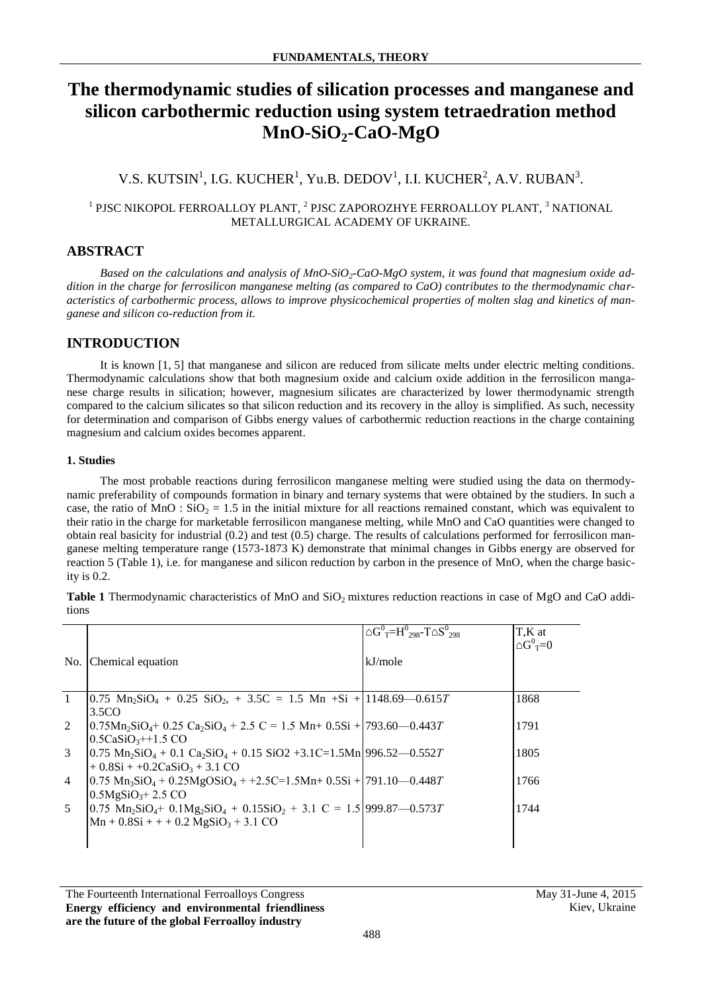# **The thermodynamic studies of silication processes and manganese and silicon carbothermic reduction using system tetraedration method МnO-SiO2-CaO-MgO**

## V.S. KUTSIN $^1$ , I.G. KUCHER $^1$ , Yu.B. DEDOV $^1$ , I.I. KUCHER $^2$ , A.V. RUBAN $^3$ .

### $^{\rm 1}$  PJSC NIKOPOL FERROALLOY PLANT,  $^{\rm 2}$  PJSC ZAPOROZHYE FERROALLOY PLANT,  $^{\rm 3}$  NATIONAL METALLURGICAL ACADEMY OF UKRAINE.

### **ABSTRACT**

Based on the calculations and analysis of MnO-SiO<sub>2</sub>-CaO-MgO system, it was found that magnesium oxide ad*dition in the charge for ferrosilicon manganese melting (as compared to CaO) contributes to the thermodynamic characteristics of carbothermic process, allows to improve physicochemical properties of molten slag and kinetics of manganese and silicon co-reduction from it.*

### **INTRODUCTION**

It is known [1, 5] that manganese and silicon are reduced from silicate melts under electric melting conditions. Thermodynamic calculations show that both magnesium oxide and calcium oxide addition in the ferrosilicon manganese charge results in silication; however, magnesium silicates are characterized by lower thermodynamic strength compared to the calcium silicates so that silicon reduction and its recovery in the alloy is simplified. As such, necessity for determination and comparison of Gibbs energy values of carbothermic reduction reactions in the charge containing magnesium and calcium oxides becomes apparent.

#### **1. Studies**

The most probable reactions during ferrosilicon manganese melting were studied using the data on thermodynamic preferability of compounds formation in binary and ternary systems that were obtained by the studiers. In such a case, the ratio of MnO :  $SiO<sub>2</sub> = 1.5$  in the initial mixture for all reactions remained constant, which was equivalent to their ratio in the charge for marketable ferrosilicon manganese melting, while МnО and СаО quantities were changed to obtain real basicity for industrial (0.2) and test (0.5) charge. The results of calculations performed for ferrosilicon manganese melting temperature range (1573-1873 K) demonstrate that minimal changes in Gibbs energy are observed for reaction 5 (Table 1), i.e. for manganese and silicon reduction by carbon in the presence of МnО, when the charge basicity is 0.2.

**Table 1** Thermodynamic characteristics of MnO and SiO<sub>2</sub> mixtures reduction reactions in case of MgO and CaO additions

| No.            | Chemical equation                                                                                                                                                    | $\triangle G^{0}$ <sub>T</sub> =H <sup>0</sup> <sub>298</sub> -T $\triangle S^{0}$ <sub>298</sub><br>kJ/mole | T,K at<br>$\triangle G^0$ <sub>T</sub> =0 |
|----------------|----------------------------------------------------------------------------------------------------------------------------------------------------------------------|--------------------------------------------------------------------------------------------------------------|-------------------------------------------|
|                |                                                                                                                                                                      |                                                                                                              |                                           |
| $\overline{1}$ | $[0.75 \text{ Mn}_2\text{SiO}_4 + 0.25 \text{ SiO}_2] + 3.5\text{C} = 1.5 \text{ Mn} + \text{Si} + 1148.69 - 0.615T$<br>3.5CO                                        |                                                                                                              | 1868                                      |
| 2              | $(0.75Mn_2SiO_4 + 0.25 Ca_2SiO_4 + 2.5 C = 1.5 Mn_1 + 0.5Si + 793.60 - 0.443T$                                                                                       |                                                                                                              | 1791                                      |
|                | $0.5CaSiO3++1.5 CO$                                                                                                                                                  |                                                                                                              | 1805                                      |
| 3              | $[0.75 \text{ Mn}_2\text{SiO}_4 + 0.1 \text{ Ca}_2\text{SiO}_4 + 0.15 \text{ SiO2 } +3.1 \text{C} = 1.5 \text{Mn}$ [996.52–0.552T]<br>$+0.8Si + +0.2CaSiO3 + 3.1 CO$ |                                                                                                              |                                           |
| $\overline{4}$ | $(0.75 \text{ Mn}_3\text{SiO}_4 + 0.25 \text{MgOSiO}_4 + 2.5 \text{C} = 1.5 \text{Mn} + 0.5 \text{Si} + (791.10 - 0.448 T)$                                          |                                                                                                              | 1766                                      |
|                | $0.5MgSiO3+2.5CO$                                                                                                                                                    |                                                                                                              |                                           |
| 5              | $[0.75 \text{ Mn}_2\text{SiO}_4 + 0.1\text{Mg}_2\text{SiO}_4 + 0.15\text{SiO}_2 + 3.1 \text{ C} = 1.5[999.87 - 0.573T]$                                              |                                                                                                              | 1744                                      |
|                | $Mn + 0.8Si + + + 0.2 MgSiO3 + 3.1 CO$                                                                                                                               |                                                                                                              |                                           |
|                |                                                                                                                                                                      |                                                                                                              |                                           |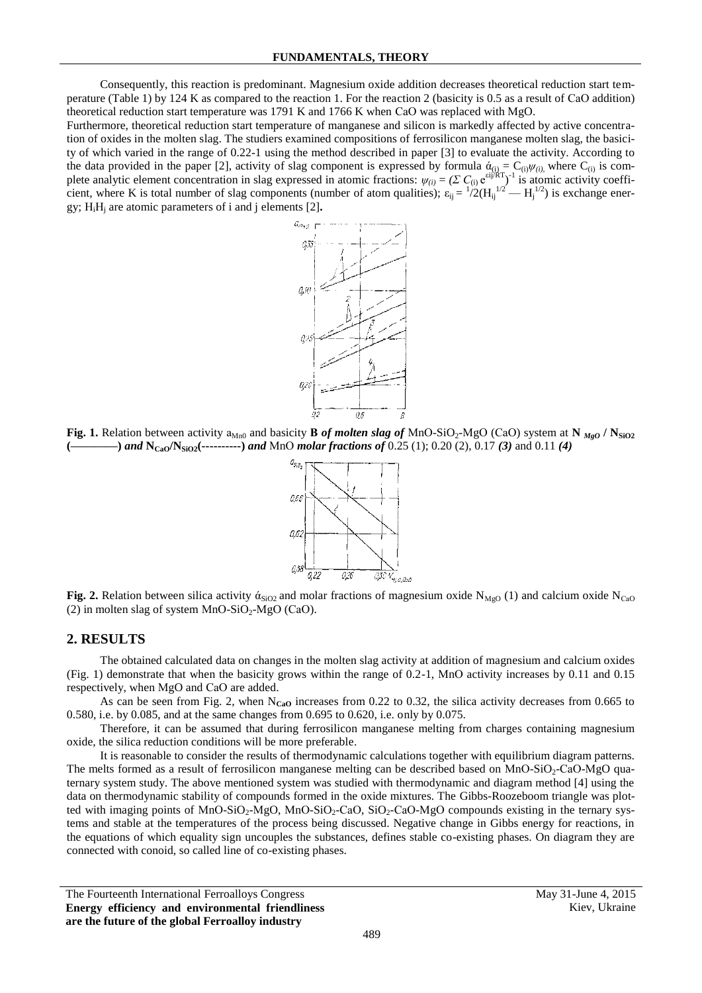Consequently, this reaction is predominant. Magnesium oxide addition decreases theoretical reduction start temperature (Table 1) by 124 K as compared to the reaction 1. For the reaction 2 (basicity is 0.5 as a result of СаО addition) theoretical reduction start temperature was 1791 K and 1766 K when СаО was replaced with МgO.

Furthermore, theoretical reduction start temperature of manganese and silicon is markedly affected by active concentration of oxides in the molten slag. The studiers examined compositions of ferrosilicon manganese molten slag, the basicity of which varied in the range of 0.22-1 using the method described in paper [3] to evaluate the activity. According to the data provided in the paper [2], activity of slag component is expressed by formula  $\dot{\alpha}_{(i)} = C_{(i)} \psi_{(i)}$ , where  $C_{(i)}$  is complete analytic element concentration in slag expressed in atomic fractions:  $\psi_{(i)} = (\Sigma C_{(i)} e^{\epsilon i j / RT})^{-1}$  is atomic activity coefficient, where K is total number of slag components (number of atom qualities);  $\varepsilon_{ij} = \frac{1}{2} (H_{ij}^{1/2} - H_j^{1/2})$  is exchange energy; НiН<sup>j</sup> are atomic parameters of i and j elements [2]**.**



**Fig. 1.** Relation between activity  $a_{Mn0}$  and basicity **B** *of molten slag of* MnO-SiO<sub>2</sub>-MgO (CaO) system at  $N_{Me0}$  /  $N_{SiO2}$ **(————)** *and* **NCaO/NSiO2(----------)** *and* МnО *molar fractions of* 0.25 (1); 0.20 (2), 0.17 *(3)* and 0.11 *(4)*



**Fig. 2.** Relation between silica activity  $\dot{\alpha}_{SiO2}$  and molar fractions of magnesium oxide N<sub>MgO</sub> (1) and calcium oxide N<sub>CaO</sub> (2) in molten slag of system  $MnO-SiO<sub>2</sub>-MgO$  (CaO).

### **2. RESULTS**

The obtained calculated data on changes in the molten slag activity at addition of magnesium and calcium oxides (Fig. 1) demonstrate that when the basicity grows within the range of 0.2-1, МnО activity increases by 0.11 and 0.15 respectively, when МgO and СаО are added.

As can be seen from Fig. 2, when  $N_{CaO}$  increases from 0.22 to 0.32, the silica activity decreases from 0.665 to 0.580, i.e. by 0.085, and at the same changes from 0.695 to 0.620, i.e. only by 0.075.

Therefore, it can be assumed that during ferrosilicon manganese melting from charges containing magnesium oxide, the silica reduction conditions will be more preferable.

It is reasonable to consider the results of thermodynamic calculations together with equilibrium diagram patterns. The melts formed as a result of ferrosilicon manganese melting can be described based on MnO-SiO<sub>2</sub>-CaO-MgO quaternary system study. The above mentioned system was studied with thermodynamic and diagram method [4] using the data on thermodynamic stability of compounds formed in the oxide mixtures. The Gibbs-Roozeboom triangle was plotted with imaging points of MnO-SiO<sub>2</sub>-MgO, MnO-SiO<sub>2</sub>-CaO, SiO<sub>2</sub>-CaO-MgO compounds existing in the ternary systems and stable at the temperatures of the process being discussed. Negative change in Gibbs energy for reactions, in the equations of which equality sign uncouples the substances, defines stable co-existing phases. On diagram they are connected with conoid, so called line of co-existing phases.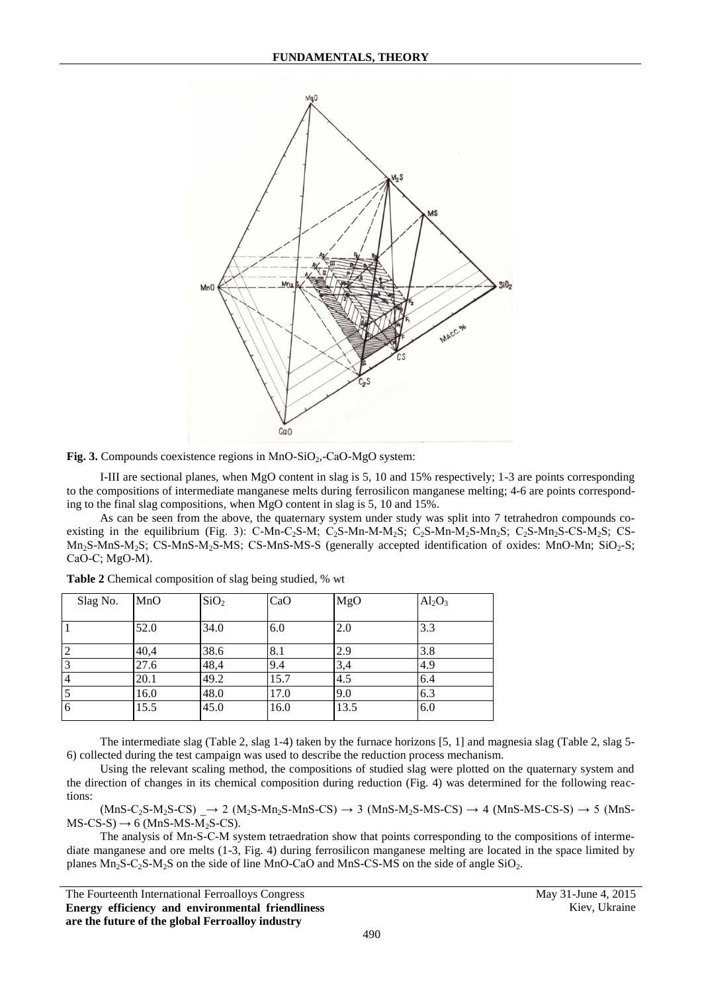

Fig. 3. Compounds coexistence regions in MnO-SiO<sub>2</sub>,-CaO-MgO system:

I-III are sectional planes, when MgO content in slag is 5, 10 and 15% respectively; 1-3 are points corresponding to the compositions of intermediate manganese melts during ferrosilicon manganese melting; 4-6 are points corresponding to the final slag compositions, when MgO content in slag is 5, 10 and 15%.

As can be seen from the above, the quaternary system under study was split into 7 tetrahedron compounds coexisting in the equilibrium (Fig. 3): C-Mn-C<sub>2</sub>S-M; C<sub>2</sub>S-Mn-M-M<sub>2</sub>S; C<sub>2</sub>S-Mn-M<sub>2</sub>S-Mn<sub>2</sub>S; C<sub>2</sub>S-Mn<sub>2</sub>S-CS-M<sub>2</sub>S; C<sub>2</sub>S-Mn<sub>2</sub>S-CS-M<sub>2</sub>S; C<sub>2</sub>S-Mn<sub>2</sub>S-CS-M<sub>2</sub>S; C<sub>2</sub>S-Mn<sub>2</sub>S-CS-M<sub>2</sub>S; C<sub>2</sub>S-Mn<sub>2</sub>S-CS-M<sub>2</sub>S; C<sub>2</sub>S-Mn<sub>2</sub>S-Mn<sub>2</sub>S-MnS-M<sub>2</sub>S; CS-MnS-M<sub>2</sub>S-MS; CS-MnS-MS-S (generally accepted identification of oxides: MnO-Mn; SiO<sub>2</sub>-S; СаО-С; МgO-М).

| Slag No. | MnO  | SiO <sub>2</sub> | CaO  | MgO  | $Al_2O_3$ |
|----------|------|------------------|------|------|-----------|
|          |      |                  |      |      |           |
|          | 52.0 | 34.0             | 6.0  | 2.0  | 3.3       |
| ာ        | 40,4 | 38.6             | 8.1  | 2.9  | 3.8       |
|          | 27.6 | 48,4             | 9.4  | 3,4  | 4.9       |
| 14       | 20.1 | 49.2             | 15.7 | 4.5  | 6.4       |
|          | 16.0 | 48.0             | 17.0 | 9.0  | 6.3       |
| 6        | 15.5 | 45.0             | 16.0 | 13.5 | 6.0       |

**Table 2** Chemical composition of slag being studied, % wt

The intermediate slag (Table 2, slag 1-4) taken by the furnace horizons [5, 1] and magnesia slag (Table 2, slag 5- 6) collected during the test campaign was used to describe the reduction process mechanism.

Using the relevant scaling method, the compositions of studied slag were plotted on the quaternary system and the direction of changes in its chemical composition during reduction (Fig. 4) was determined for the following reactions:

 $(MnS-C_2S-M_2S-CS)$   $\rightarrow$  2  $(M_2S-Mn_2S-MnS-CS)$   $\rightarrow$  3  $(MnS-M_2S-MS-CS)$   $\rightarrow$  4  $(MnS-MS-CS-S)$   $\rightarrow$  5  $(MnS-S-S)$  $MS-CS-S$ )  $\rightarrow$  6 (MnS-MS-M<sub>2</sub>S-CS).

The analysis of Мn-S-С-М system tetraedration show that points corresponding to the compositions of intermediate manganese and ore melts (1-3, Fig. 4) during ferrosilicon manganese melting are located in the space limited by planes  $Mn_2S-C_2S-M_2S$  on the side of line MnO-CaO and MnS-CS-MS on the side of angle SiO<sub>2</sub>.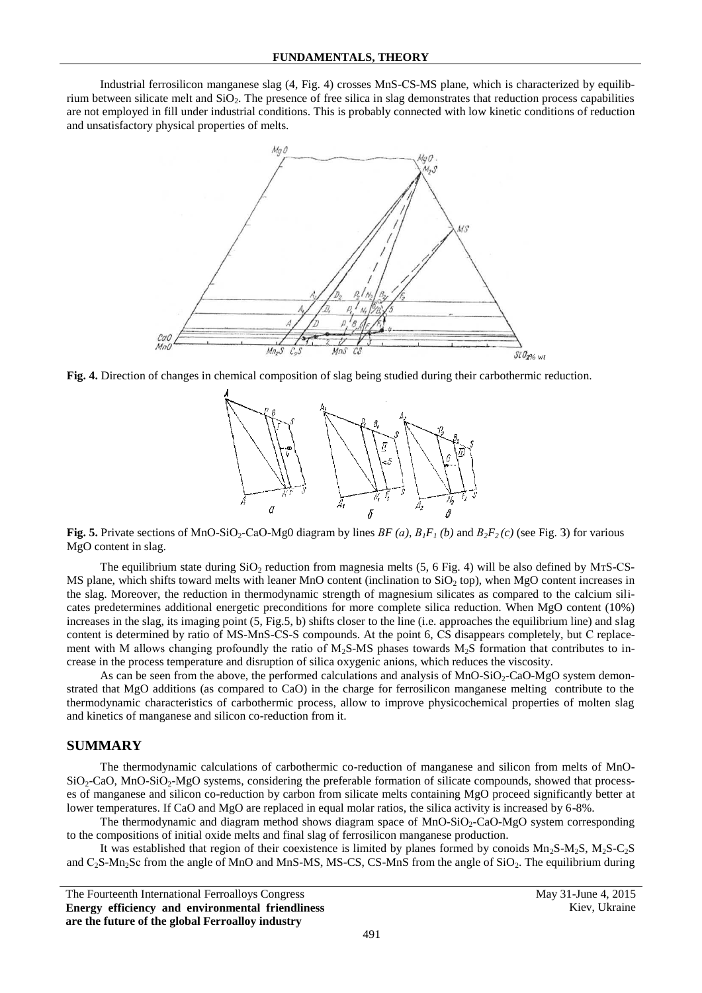Industrial ferrosilicon manganese slag (4, Fig. 4) crosses МnS-СS-МS plane, which is characterized by equilibrium between silicate melt and SiO2. The presence of free silica in slag demonstrates that reduction process capabilities are not employed in fill under industrial conditions. This is probably connected with low kinetic conditions of reduction and unsatisfactory physical properties of melts.



**Fig. 4.** Direction of changes in chemical composition of slag being studied during their carbothermic reduction.



**Fig. 5.** Private sections of MnO-SiO<sub>2</sub>-CaO-Mg0 diagram by lines  $BF(a)$ ,  $B_1F_1(b)$  and  $B_2F_2(c)$  (see Fig. 3) for various MgO content in slag.

The equilibrium state during  $SiO<sub>2</sub>$  reduction from magnesia melts (5, 6 Fig. 4) will be also defined by MTS-CS-MS plane, which shifts toward melts with leaner MnO content (inclination to  $SiO<sub>2</sub>$  top), when MgO content increases in the slag. Moreover, the reduction in thermodynamic strength of magnesium silicates as compared to the calcium silicates predetermines additional energetic preconditions for more complete silica reduction. When MgO content (10%) increases in the slag, its imaging point  $(5, Fig.5, b)$  shifts closer to the line (i.e. approaches the equilibrium line) and slag content is determined by ratio of MS-MnS-CS-S compounds. At the point 6, CS disappears completely, but C replacement with M allows changing profoundly the ratio of  $M<sub>2</sub>S-MS$  phases towards  $M<sub>2</sub>S$  formation that contributes to increase in the process temperature and disruption of silica oxygenic anions, which reduces the viscosity.

As can be seen from the above, the performed calculations and analysis of MnO-SiO<sub>2</sub>-CaO-MgO system demonstrated that MgO additions (as compared to CaO) in the charge for ferrosilicon manganese melting contribute to the thermodynamic characteristics of carbothermic process, allow to improve physicochemical properties of molten slag and kinetics of manganese and silicon co-reduction from it.

#### **SUMMARY**

The thermodynamic calculations of carbothermic co-reduction of manganese and silicon from melts of MnO- $SiO<sub>2</sub>-CaO$ , MnO-SiO<sub>2</sub>-MgO systems, considering the preferable formation of silicate compounds, showed that processes of manganese and silicon co-reduction by carbon from silicate melts containing MgO proceed significantly better at lower temperatures. If CaO and MgO are replaced in equal molar ratios, the silica activity is increased by 6-8%.

The thermodynamic and diagram method shows diagram space of  $MnO-SiO<sub>2</sub>-CaO-MgO$  system corresponding to the compositions of initial oxide melts and final slag of ferrosilicon manganese production.

It was established that region of their coexistence is limited by planes formed by conoids  $Mn_2S-M_2S$ ,  $M_2S-C_2S$ and  $C_2$ S-Mn<sub>2</sub>Sc from the angle of MnO and MnS-MS, MS-CS, CS-MnS from the angle of  $SiO<sub>2</sub>$ . The equilibrium during